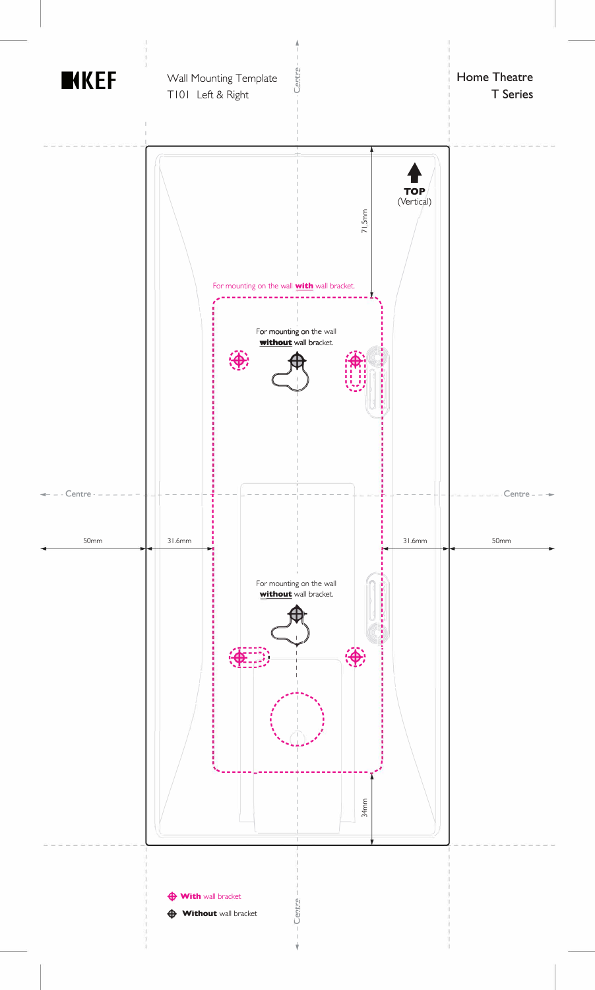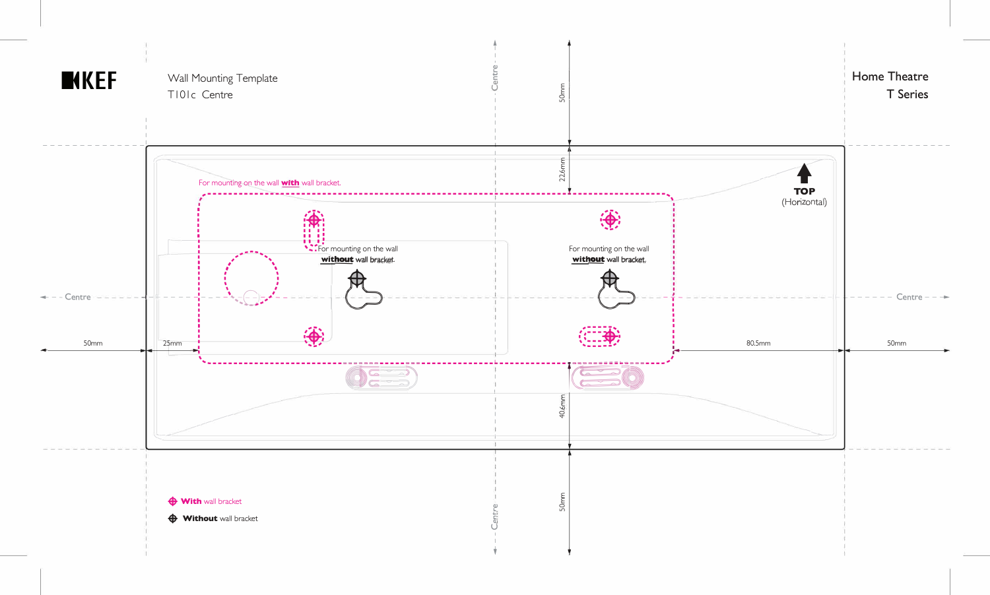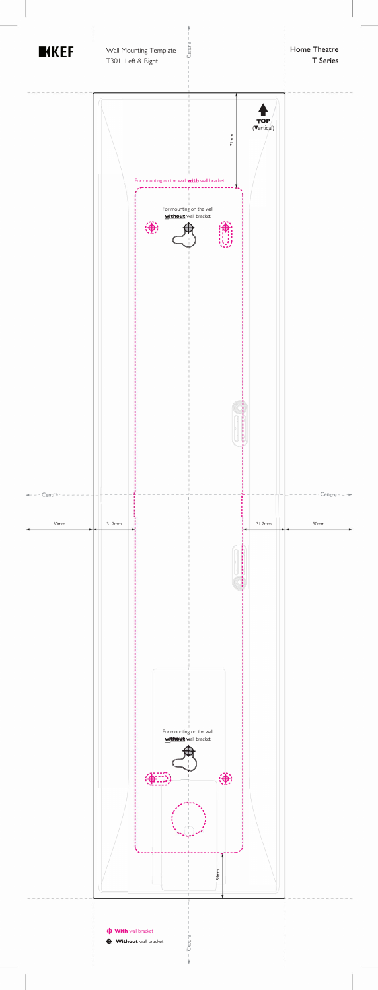